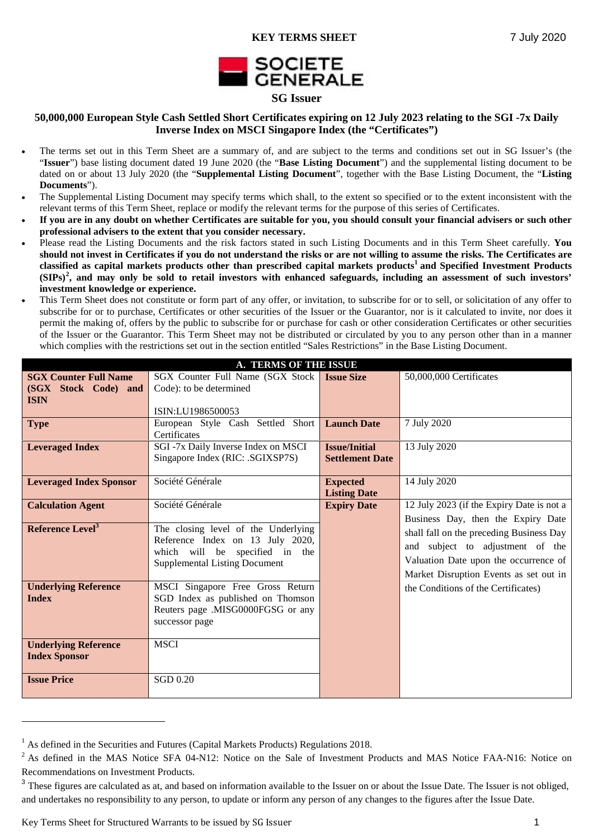

# **50,000,000 European Style Cash Settled Short Certificates expiring on 12 July 2023 relating to the SGI -7x Daily Inverse Index on MSCI Singapore Index (the "Certificates")**

- The terms set out in this Term Sheet are a summary of, and are subject to the terms and conditions set out in SG Issuer's (the "**Issuer**") base listing document dated 19 June 2020 (the "**Base Listing Document**") and the supplemental listing document to be dated on or about 13 July 2020 (the "**Supplemental Listing Document**", together with the Base Listing Document, the "**Listing Documents**").
- The Supplemental Listing Document may specify terms which shall, to the extent so specified or to the extent inconsistent with the relevant terms of this Term Sheet, replace or modify the relevant terms for the purpose of this series of Certificates.
- **If you are in any doubt on whether Certificates are suitable for you, you should consult your financial advisers or such other professional advisers to the extent that you consider necessary.**
- Please read the Listing Documents and the risk factors stated in such Listing Documents and in this Term Sheet carefully. **You should not invest in Certificates if you do not understand the risks or are not willing to assume the risks. The Certificates are classified as capital markets products other than prescribed capital markets products<sup>1</sup> and Specified Investment Products (SIPs)<sup>2</sup> , and may only be sold to retail investors with enhanced safeguards, including an assessment of such investors' investment knowledge or experience.**
- This Term Sheet does not constitute or form part of any offer, or invitation, to subscribe for or to sell, or solicitation of any offer to subscribe for or to purchase, Certificates or other securities of the Issuer or the Guarantor, nor is it calculated to invite, nor does it permit the making of, offers by the public to subscribe for or purchase for cash or other consideration Certificates or other securities of the Issuer or the Guarantor. This Term Sheet may not be distributed or circulated by you to any person other than in a manner which complies with the restrictions set out in the section entitled "Sales Restrictions" in the Base Listing Document.

| <b>A. TERMS OF THE ISSUE</b>   |                                      |                        |                                           |  |  |  |  |  |  |  |
|--------------------------------|--------------------------------------|------------------------|-------------------------------------------|--|--|--|--|--|--|--|
| <b>SGX Counter Full Name</b>   | SGX Counter Full Name (SGX Stock     | <b>Issue Size</b>      | 50,000,000 Certificates                   |  |  |  |  |  |  |  |
| (SGX Stock Code) and           | Code): to be determined              |                        |                                           |  |  |  |  |  |  |  |
| <b>ISIN</b>                    |                                      |                        |                                           |  |  |  |  |  |  |  |
|                                | ISIN:LU1986500053                    |                        |                                           |  |  |  |  |  |  |  |
| <b>Type</b>                    | European Style Cash Settled Short    | <b>Launch Date</b>     | 7 July 2020                               |  |  |  |  |  |  |  |
|                                | Certificates                         |                        |                                           |  |  |  |  |  |  |  |
| <b>Leveraged Index</b>         | SGI-7x Daily Inverse Index on MSCI   | <b>Issue/Initial</b>   | 13 July 2020                              |  |  |  |  |  |  |  |
|                                | Singapore Index (RIC: .SGIXSP7S)     | <b>Settlement Date</b> |                                           |  |  |  |  |  |  |  |
|                                |                                      |                        |                                           |  |  |  |  |  |  |  |
| <b>Leveraged Index Sponsor</b> | Société Générale                     | <b>Expected</b>        | 14 July 2020                              |  |  |  |  |  |  |  |
|                                |                                      | <b>Listing Date</b>    |                                           |  |  |  |  |  |  |  |
| <b>Calculation Agent</b>       | Société Générale                     | <b>Expiry Date</b>     | 12 July 2023 (if the Expiry Date is not a |  |  |  |  |  |  |  |
|                                |                                      |                        | Business Day, then the Expiry Date        |  |  |  |  |  |  |  |
| Reference Level <sup>3</sup>   | The closing level of the Underlying  |                        | shall fall on the preceding Business Day  |  |  |  |  |  |  |  |
|                                | Reference Index on 13 July 2020,     |                        | and subject to adjustment of the          |  |  |  |  |  |  |  |
|                                | which will be specified in the       |                        |                                           |  |  |  |  |  |  |  |
|                                | <b>Supplemental Listing Document</b> |                        | Valuation Date upon the occurrence of     |  |  |  |  |  |  |  |
|                                |                                      |                        | Market Disruption Events as set out in    |  |  |  |  |  |  |  |
| <b>Underlying Reference</b>    | MSCI Singapore Free Gross Return     |                        | the Conditions of the Certificates)       |  |  |  |  |  |  |  |
| <b>Index</b>                   | SGD Index as published on Thomson    |                        |                                           |  |  |  |  |  |  |  |
|                                | Reuters page .MISG0000FGSG or any    |                        |                                           |  |  |  |  |  |  |  |
|                                | successor page                       |                        |                                           |  |  |  |  |  |  |  |
|                                |                                      |                        |                                           |  |  |  |  |  |  |  |
| <b>Underlying Reference</b>    | <b>MSCI</b>                          |                        |                                           |  |  |  |  |  |  |  |
| <b>Index Sponsor</b>           |                                      |                        |                                           |  |  |  |  |  |  |  |
|                                |                                      |                        |                                           |  |  |  |  |  |  |  |
| <b>Issue Price</b>             | SGD 0.20                             |                        |                                           |  |  |  |  |  |  |  |
|                                |                                      |                        |                                           |  |  |  |  |  |  |  |

<sup>&</sup>lt;sup>1</sup> As defined in the Securities and Futures (Capital Markets Products) Regulations 2018.

Key Terms Sheet for Structured Warrants to be issued by SG Issuer 1

<sup>&</sup>lt;sup>2</sup> As defined in the MAS Notice SFA 04-N12: Notice on the Sale of Investment Products and MAS Notice FAA-N16: Notice on Recommendations on Investment Products.

<sup>&</sup>lt;sup>3</sup> These figures are calculated as at, and based on information available to the Issuer on or about the Issue Date. The Issuer is not obliged, and undertakes no responsibility to any person, to update or inform any person of any changes to the figures after the Issue Date.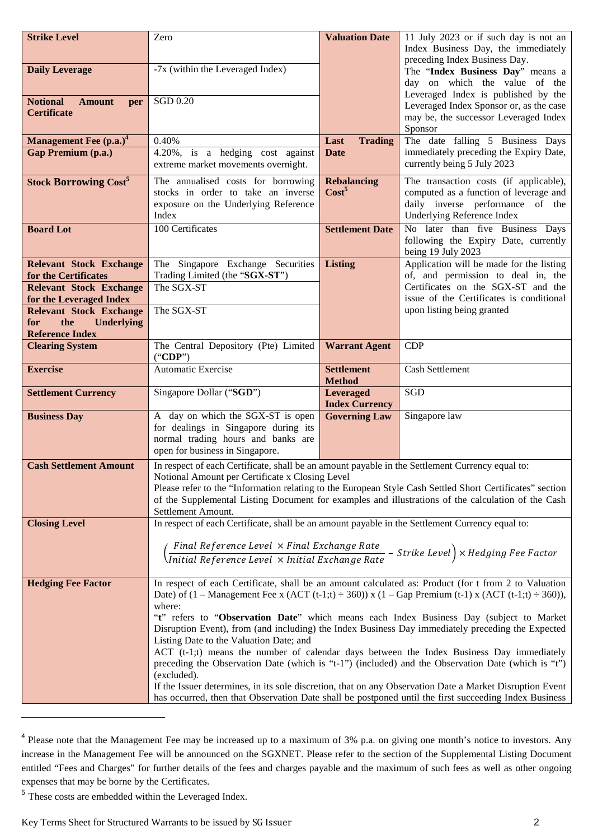| <b>Strike Level</b>                                           | Zero                                                                                                                                                                                                                                                                                                                                                                                                                                                                                                                                                                                                                                                                                                        | <b>Valuation Date</b>                     | 11 July 2023 or if such day is not an<br>Index Business Day, the immediately                                                                                                                                      |  |  |  |  |
|---------------------------------------------------------------|-------------------------------------------------------------------------------------------------------------------------------------------------------------------------------------------------------------------------------------------------------------------------------------------------------------------------------------------------------------------------------------------------------------------------------------------------------------------------------------------------------------------------------------------------------------------------------------------------------------------------------------------------------------------------------------------------------------|-------------------------------------------|-------------------------------------------------------------------------------------------------------------------------------------------------------------------------------------------------------------------|--|--|--|--|
| <b>Daily Leverage</b>                                         | -7x (within the Leveraged Index)                                                                                                                                                                                                                                                                                                                                                                                                                                                                                                                                                                                                                                                                            |                                           | preceding Index Business Day.<br>The "Index Business Day" means a<br>day on which the value of the                                                                                                                |  |  |  |  |
| <b>Notional</b><br><b>Amount</b><br>per<br><b>Certificate</b> | <b>SGD 0.20</b>                                                                                                                                                                                                                                                                                                                                                                                                                                                                                                                                                                                                                                                                                             |                                           | Leveraged Index is published by the<br>Leveraged Index Sponsor or, as the case<br>may be, the successor Leveraged Index<br>Sponsor                                                                                |  |  |  |  |
| Management Fee (p.a.) <sup>4</sup>                            | 0.40%                                                                                                                                                                                                                                                                                                                                                                                                                                                                                                                                                                                                                                                                                                       | <b>Trading</b><br>Last                    | The date falling 5 Business Days                                                                                                                                                                                  |  |  |  |  |
| <b>Gap Premium (p.a.)</b>                                     | 4.20%, is a hedging cost against<br>extreme market movements overnight.                                                                                                                                                                                                                                                                                                                                                                                                                                                                                                                                                                                                                                     | Date                                      | immediately preceding the Expiry Date,<br>currently being 5 July 2023                                                                                                                                             |  |  |  |  |
| <b>Stock Borrowing Cost<sup>5</sup></b>                       | The annualised costs for borrowing<br>stocks in order to take an inverse<br>exposure on the Underlying Reference<br>Index                                                                                                                                                                                                                                                                                                                                                                                                                                                                                                                                                                                   | <b>Rebalancing</b><br>Cost <sup>5</sup>   | The transaction costs (if applicable),<br>computed as a function of leverage and<br>daily inverse performance of the<br>Underlying Reference Index                                                                |  |  |  |  |
| <b>Board Lot</b>                                              | 100 Certificates                                                                                                                                                                                                                                                                                                                                                                                                                                                                                                                                                                                                                                                                                            | <b>Settlement Date</b>                    | No later than five Business Days<br>following the Expiry Date, currently<br>being 19 July 2023                                                                                                                    |  |  |  |  |
| <b>Relevant Stock Exchange</b>                                | The Singapore Exchange Securities                                                                                                                                                                                                                                                                                                                                                                                                                                                                                                                                                                                                                                                                           | <b>Listing</b>                            | Application will be made for the listing                                                                                                                                                                          |  |  |  |  |
| for the Certificates                                          | Trading Limited (the "SGX-ST")<br>The SGX-ST                                                                                                                                                                                                                                                                                                                                                                                                                                                                                                                                                                                                                                                                |                                           | of, and permission to deal in, the<br>Certificates on the SGX-ST and the                                                                                                                                          |  |  |  |  |
| <b>Relevant Stock Exchange</b><br>for the Leveraged Index     |                                                                                                                                                                                                                                                                                                                                                                                                                                                                                                                                                                                                                                                                                                             |                                           | issue of the Certificates is conditional                                                                                                                                                                          |  |  |  |  |
| <b>Relevant Stock Exchange</b>                                | The SGX-ST                                                                                                                                                                                                                                                                                                                                                                                                                                                                                                                                                                                                                                                                                                  |                                           | upon listing being granted                                                                                                                                                                                        |  |  |  |  |
| the<br><b>Underlying</b><br>for                               |                                                                                                                                                                                                                                                                                                                                                                                                                                                                                                                                                                                                                                                                                                             |                                           |                                                                                                                                                                                                                   |  |  |  |  |
| <b>Reference Index</b><br><b>Clearing System</b>              | The Central Depository (Pte) Limited                                                                                                                                                                                                                                                                                                                                                                                                                                                                                                                                                                                                                                                                        | <b>Warrant Agent</b>                      | <b>CDP</b>                                                                                                                                                                                                        |  |  |  |  |
|                                                               | ("CDP")                                                                                                                                                                                                                                                                                                                                                                                                                                                                                                                                                                                                                                                                                                     |                                           |                                                                                                                                                                                                                   |  |  |  |  |
| <b>Exercise</b>                                               | <b>Automatic Exercise</b>                                                                                                                                                                                                                                                                                                                                                                                                                                                                                                                                                                                                                                                                                   | <b>Settlement</b><br><b>Method</b>        | <b>Cash Settlement</b>                                                                                                                                                                                            |  |  |  |  |
| <b>Settlement Currency</b>                                    | Singapore Dollar ("SGD")                                                                                                                                                                                                                                                                                                                                                                                                                                                                                                                                                                                                                                                                                    | <b>Leveraged</b><br><b>Index Currency</b> | <b>SGD</b>                                                                                                                                                                                                        |  |  |  |  |
| <b>Business Day</b>                                           | A day on which the SGX-ST is open<br>for dealings in Singapore during its<br>normal trading hours and banks are<br>open for business in Singapore.                                                                                                                                                                                                                                                                                                                                                                                                                                                                                                                                                          | <b>Governing Law</b>                      | Singapore law                                                                                                                                                                                                     |  |  |  |  |
| <b>Cash Settlement Amount</b>                                 | In respect of each Certificate, shall be an amount payable in the Settlement Currency equal to:<br>Notional Amount per Certificate x Closing Level<br>Settlement Amount.                                                                                                                                                                                                                                                                                                                                                                                                                                                                                                                                    |                                           | Please refer to the "Information relating to the European Style Cash Settled Short Certificates" section<br>of the Supplemental Listing Document for examples and illustrations of the calculation of the Cash    |  |  |  |  |
| <b>Closing Level</b>                                          | In respect of each Certificate, shall be an amount payable in the Settlement Currency equal to:                                                                                                                                                                                                                                                                                                                                                                                                                                                                                                                                                                                                             |                                           |                                                                                                                                                                                                                   |  |  |  |  |
|                                                               | $\left(\frac{\textit{Final Reference Level } \times \textit{Final Exchange Rate}}{\textit{Initial Reference Level } \times \textit{Initial Exchange Rate}} - \textit{Strike Level} \right) \times \textit{Hedging Free Factor}$                                                                                                                                                                                                                                                                                                                                                                                                                                                                             |                                           |                                                                                                                                                                                                                   |  |  |  |  |
| <b>Hedging Fee Factor</b>                                     | In respect of each Certificate, shall be an amount calculated as: Product (for t from 2 to Valuation<br>Date) of $(1 - \text{Management}$ Fee x $(ACT (t-1,t) \div 360)$ x $(1 - \text{Gap premium (t-1) x (ACT (t-1,t) \div 360)}$ ,<br>where:<br>"t" refers to "Observation Date" which means each Index Business Day (subject to Market<br>Disruption Event), from (and including) the Index Business Day immediately preceding the Expected<br>Listing Date to the Valuation Date; and<br>ACT (t-1;t) means the number of calendar days between the Index Business Day immediately<br>preceding the Observation Date (which is "t-1") (included) and the Observation Date (which is "t")<br>(excluded). |                                           |                                                                                                                                                                                                                   |  |  |  |  |
|                                                               |                                                                                                                                                                                                                                                                                                                                                                                                                                                                                                                                                                                                                                                                                                             |                                           | If the Issuer determines, in its sole discretion, that on any Observation Date a Market Disruption Event<br>has occurred, then that Observation Date shall be postponed until the first succeeding Index Business |  |  |  |  |

<sup>&</sup>lt;sup>4</sup> Please note that the Management Fee may be increased up to a maximum of 3% p.a. on giving one month's notice to investors. Any increase in the Management Fee will be announced on the SGXNET. Please refer to the section of the Supplemental Listing Document entitled "Fees and Charges" for further details of the fees and charges payable and the maximum of such fees as well as other ongoing expenses that may be borne by the Certificates.

<sup>&</sup>lt;sup>5</sup> These costs are embedded within the Leveraged Index.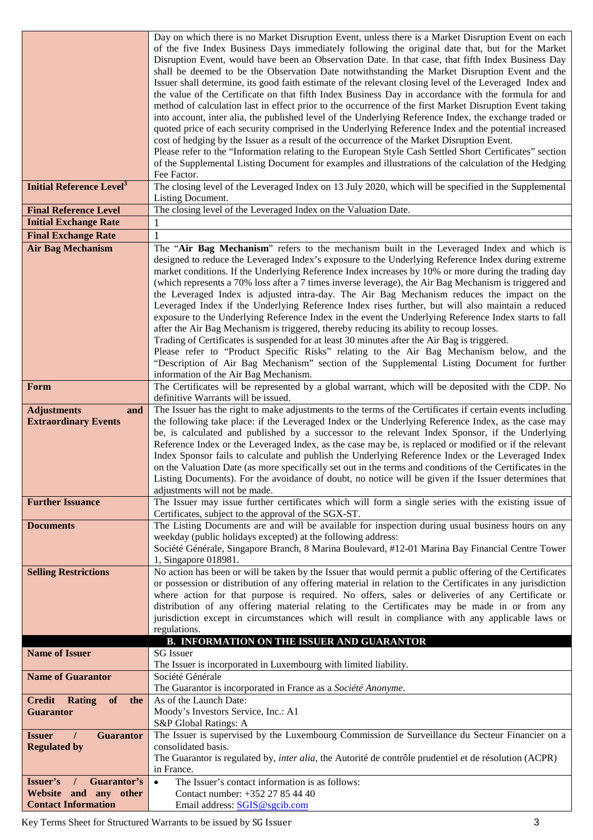|                                               | Day on which there is no Market Disruption Event, unless there is a Market Disruption Event on each                                                                                                    |
|-----------------------------------------------|--------------------------------------------------------------------------------------------------------------------------------------------------------------------------------------------------------|
|                                               | of the five Index Business Days immediately following the original date that, but for the Market                                                                                                       |
|                                               | Disruption Event, would have been an Observation Date. In that case, that fifth Index Business Day                                                                                                     |
|                                               | shall be deemed to be the Observation Date notwithstanding the Market Disruption Event and the                                                                                                         |
|                                               | Issuer shall determine, its good faith estimate of the relevant closing level of the Leveraged Index and                                                                                               |
|                                               | the value of the Certificate on that fifth Index Business Day in accordance with the formula for and                                                                                                   |
|                                               | method of calculation last in effect prior to the occurrence of the first Market Disruption Event taking                                                                                               |
|                                               | into account, inter alia, the published level of the Underlying Reference Index, the exchange traded or                                                                                                |
|                                               | quoted price of each security comprised in the Underlying Reference Index and the potential increased                                                                                                  |
|                                               | cost of hedging by the Issuer as a result of the occurrence of the Market Disruption Event.                                                                                                            |
|                                               | Please refer to the "Information relating to the European Style Cash Settled Short Certificates" section                                                                                               |
|                                               | of the Supplemental Listing Document for examples and illustrations of the calculation of the Hedging                                                                                                  |
|                                               | Fee Factor.                                                                                                                                                                                            |
| <b>Initial Reference Level</b> <sup>3</sup>   | The closing level of the Leveraged Index on 13 July 2020, which will be specified in the Supplemental                                                                                                  |
|                                               | Listing Document.                                                                                                                                                                                      |
| <b>Final Reference Level</b>                  | The closing level of the Leveraged Index on the Valuation Date.                                                                                                                                        |
| <b>Initial Exchange Rate</b>                  | 1                                                                                                                                                                                                      |
| <b>Final Exchange Rate</b>                    |                                                                                                                                                                                                        |
| <b>Air Bag Mechanism</b>                      | The "Air Bag Mechanism" refers to the mechanism built in the Leveraged Index and which is                                                                                                              |
|                                               | designed to reduce the Leveraged Index's exposure to the Underlying Reference Index during extreme                                                                                                     |
|                                               | market conditions. If the Underlying Reference Index increases by 10% or more during the trading day                                                                                                   |
|                                               | (which represents a 70% loss after a 7 times inverse leverage), the Air Bag Mechanism is triggered and                                                                                                 |
|                                               | the Leveraged Index is adjusted intra-day. The Air Bag Mechanism reduces the impact on the                                                                                                             |
|                                               | Leveraged Index if the Underlying Reference Index rises further, but will also maintain a reduced                                                                                                      |
|                                               | exposure to the Underlying Reference Index in the event the Underlying Reference Index starts to fall                                                                                                  |
|                                               | after the Air Bag Mechanism is triggered, thereby reducing its ability to recoup losses.                                                                                                               |
|                                               | Trading of Certificates is suspended for at least 30 minutes after the Air Bag is triggered.                                                                                                           |
|                                               | Please refer to "Product Specific Risks" relating to the Air Bag Mechanism below, and the                                                                                                              |
|                                               | "Description of Air Bag Mechanism" section of the Supplemental Listing Document for further                                                                                                            |
|                                               | information of the Air Bag Mechanism.                                                                                                                                                                  |
| Form                                          | The Certificates will be represented by a global warrant, which will be deposited with the CDP. No                                                                                                     |
|                                               | definitive Warrants will be issued.                                                                                                                                                                    |
| <b>Adjustments</b><br>and                     | The Issuer has the right to make adjustments to the terms of the Certificates if certain events including                                                                                              |
| <b>Extraordinary Events</b>                   | the following take place: if the Leveraged Index or the Underlying Reference Index, as the case may<br>be, is calculated and published by a successor to the relevant Index Sponsor, if the Underlying |
|                                               | Reference Index or the Leveraged Index, as the case may be, is replaced or modified or if the relevant                                                                                                 |
|                                               | Index Sponsor fails to calculate and publish the Underlying Reference Index or the Leveraged Index                                                                                                     |
|                                               | on the Valuation Date (as more specifically set out in the terms and conditions of the Certificates in the                                                                                             |
|                                               | Listing Documents). For the avoidance of doubt, no notice will be given if the Issuer determines that                                                                                                  |
|                                               | adjustments will not be made.                                                                                                                                                                          |
| <b>Further Issuance</b>                       | The Issuer may issue further certificates which will form a single series with the existing issue of                                                                                                   |
|                                               | Certificates, subject to the approval of the SGX-ST.                                                                                                                                                   |
| <b>Documents</b>                              | The Listing Documents are and will be available for inspection during usual business hours on any                                                                                                      |
|                                               | weekday (public holidays excepted) at the following address:                                                                                                                                           |
|                                               | Société Générale, Singapore Branch, 8 Marina Boulevard, #12-01 Marina Bay Financial Centre Tower                                                                                                       |
|                                               | 1, Singapore 018981.                                                                                                                                                                                   |
| <b>Selling Restrictions</b>                   | No action has been or will be taken by the Issuer that would permit a public offering of the Certificates                                                                                              |
|                                               | or possession or distribution of any offering material in relation to the Certificates in any jurisdiction                                                                                             |
|                                               | where action for that purpose is required. No offers, sales or deliveries of any Certificate or                                                                                                        |
|                                               | distribution of any offering material relating to the Certificates may be made in or from any                                                                                                          |
|                                               | jurisdiction except in circumstances which will result in compliance with any applicable laws or                                                                                                       |
|                                               | regulations.                                                                                                                                                                                           |
|                                               | <b>B. INFORMATION ON THE ISSUER AND GUARANTOR</b>                                                                                                                                                      |
| <b>Name of Issuer</b>                         | <b>SG</b> Issuer                                                                                                                                                                                       |
|                                               | The Issuer is incorporated in Luxembourg with limited liability.                                                                                                                                       |
| <b>Name of Guarantor</b>                      | Société Générale                                                                                                                                                                                       |
|                                               | The Guarantor is incorporated in France as a Société Anonyme.                                                                                                                                          |
| <b>Credit Rating</b><br>of<br>the             | As of the Launch Date:                                                                                                                                                                                 |
| <b>Guarantor</b>                              | Moody's Investors Service, Inc.: A1                                                                                                                                                                    |
|                                               | S&P Global Ratings: A                                                                                                                                                                                  |
| <b>Guarantor</b><br><b>Issuer</b><br>$\prime$ | The Issuer is supervised by the Luxembourg Commission de Surveillance du Secteur Financier on a                                                                                                        |
| <b>Regulated by</b>                           | consolidated basis.                                                                                                                                                                                    |
|                                               | The Guarantor is regulated by, <i>inter alia</i> , the Autorité de contrôle prudentiel et de résolution (ACPR)                                                                                         |
|                                               | in France.                                                                                                                                                                                             |
| Issuer's<br>Guarantor's<br>$\prime$           | The Issuer's contact information is as follows:<br>$\bullet$                                                                                                                                           |
| Website and any other                         | Contact number: +352 27 85 44 40                                                                                                                                                                       |
| <b>Contact Information</b>                    | Email address: SGIS@sgcib.com                                                                                                                                                                          |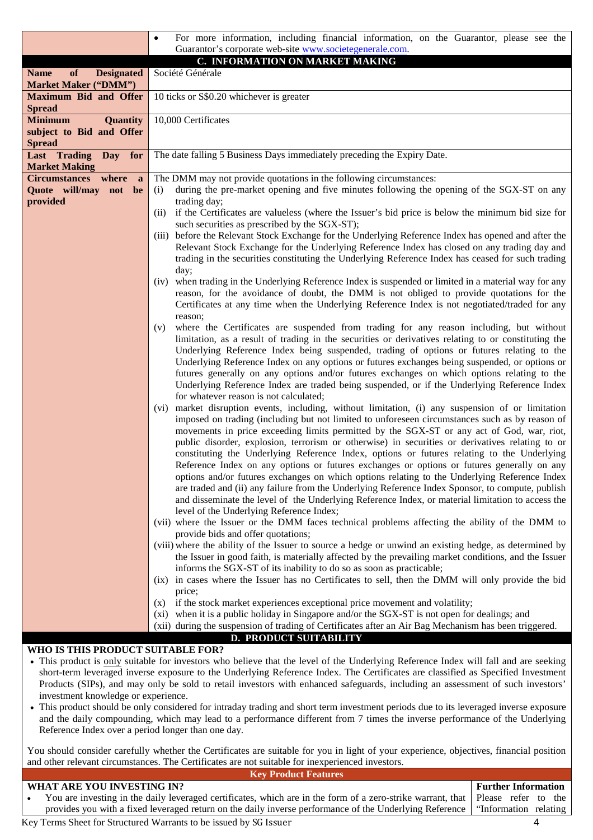|                                          | For more information, including financial information, on the Guarantor, please see the<br>$\bullet$                                                                                                   |  |  |  |  |  |  |  |
|------------------------------------------|--------------------------------------------------------------------------------------------------------------------------------------------------------------------------------------------------------|--|--|--|--|--|--|--|
|                                          | Guarantor's corporate web-site www.societegenerale.com.<br>C. INFORMATION ON MARKET MAKING                                                                                                             |  |  |  |  |  |  |  |
| <b>Designated</b><br><b>Name</b><br>of   | Société Générale                                                                                                                                                                                       |  |  |  |  |  |  |  |
| <b>Market Maker ("DMM")</b>              |                                                                                                                                                                                                        |  |  |  |  |  |  |  |
| <b>Maximum Bid and Offer</b>             | 10 ticks or S\$0.20 whichever is greater                                                                                                                                                               |  |  |  |  |  |  |  |
| <b>Spread</b>                            |                                                                                                                                                                                                        |  |  |  |  |  |  |  |
| <b>Minimum</b><br><b>Quantity</b>        | 10,000 Certificates                                                                                                                                                                                    |  |  |  |  |  |  |  |
| subject to Bid and Offer                 |                                                                                                                                                                                                        |  |  |  |  |  |  |  |
| <b>Spread</b><br>Last Trading Day<br>for | The date falling 5 Business Days immediately preceding the Expiry Date.                                                                                                                                |  |  |  |  |  |  |  |
| <b>Market Making</b>                     |                                                                                                                                                                                                        |  |  |  |  |  |  |  |
| Circumstances where<br>a                 | The DMM may not provide quotations in the following circumstances:                                                                                                                                     |  |  |  |  |  |  |  |
| Quote will/may not be                    | during the pre-market opening and five minutes following the opening of the SGX-ST on any<br>(i)                                                                                                       |  |  |  |  |  |  |  |
| provided                                 | trading day;                                                                                                                                                                                           |  |  |  |  |  |  |  |
|                                          | if the Certificates are valueless (where the Issuer's bid price is below the minimum bid size for<br>(ii)                                                                                              |  |  |  |  |  |  |  |
|                                          | such securities as prescribed by the SGX-ST);                                                                                                                                                          |  |  |  |  |  |  |  |
|                                          | (iii) before the Relevant Stock Exchange for the Underlying Reference Index has opened and after the<br>Relevant Stock Exchange for the Underlying Reference Index has closed on any trading day and   |  |  |  |  |  |  |  |
|                                          | trading in the securities constituting the Underlying Reference Index has ceased for such trading                                                                                                      |  |  |  |  |  |  |  |
|                                          | day;                                                                                                                                                                                                   |  |  |  |  |  |  |  |
|                                          | (iv) when trading in the Underlying Reference Index is suspended or limited in a material way for any                                                                                                  |  |  |  |  |  |  |  |
|                                          | reason, for the avoidance of doubt, the DMM is not obliged to provide quotations for the                                                                                                               |  |  |  |  |  |  |  |
|                                          | Certificates at any time when the Underlying Reference Index is not negotiated/traded for any                                                                                                          |  |  |  |  |  |  |  |
|                                          | reason:                                                                                                                                                                                                |  |  |  |  |  |  |  |
|                                          | where the Certificates are suspended from trading for any reason including, but without<br>(v)                                                                                                         |  |  |  |  |  |  |  |
|                                          | limitation, as a result of trading in the securities or derivatives relating to or constituting the<br>Underlying Reference Index being suspended, trading of options or futures relating to the       |  |  |  |  |  |  |  |
|                                          | Underlying Reference Index on any options or futures exchanges being suspended, or options or                                                                                                          |  |  |  |  |  |  |  |
|                                          | futures generally on any options and/or futures exchanges on which options relating to the                                                                                                             |  |  |  |  |  |  |  |
|                                          | Underlying Reference Index are traded being suspended, or if the Underlying Reference Index                                                                                                            |  |  |  |  |  |  |  |
|                                          | for whatever reason is not calculated;                                                                                                                                                                 |  |  |  |  |  |  |  |
|                                          | (vi) market disruption events, including, without limitation, (i) any suspension of or limitation                                                                                                      |  |  |  |  |  |  |  |
|                                          | imposed on trading (including but not limited to unforeseen circumstances such as by reason of                                                                                                         |  |  |  |  |  |  |  |
|                                          | movements in price exceeding limits permitted by the SGX-ST or any act of God, war, riot,<br>public disorder, explosion, terrorism or otherwise) in securities or derivatives relating to or           |  |  |  |  |  |  |  |
|                                          | constituting the Underlying Reference Index, options or futures relating to the Underlying                                                                                                             |  |  |  |  |  |  |  |
|                                          | Reference Index on any options or futures exchanges or options or futures generally on any                                                                                                             |  |  |  |  |  |  |  |
|                                          | options and/or futures exchanges on which options relating to the Underlying Reference Index                                                                                                           |  |  |  |  |  |  |  |
|                                          | are traded and (ii) any failure from the Underlying Reference Index Sponsor, to compute, publish                                                                                                       |  |  |  |  |  |  |  |
|                                          | and disseminate the level of the Underlying Reference Index, or material limitation to access the                                                                                                      |  |  |  |  |  |  |  |
|                                          | level of the Underlying Reference Index;                                                                                                                                                               |  |  |  |  |  |  |  |
|                                          | (vii) where the Issuer or the DMM faces technical problems affecting the ability of the DMM to<br>provide bids and offer quotations;                                                                   |  |  |  |  |  |  |  |
|                                          | (viii) where the ability of the Issuer to source a hedge or unwind an existing hedge, as determined by                                                                                                 |  |  |  |  |  |  |  |
|                                          | the Issuer in good faith, is materially affected by the prevailing market conditions, and the Issuer                                                                                                   |  |  |  |  |  |  |  |
|                                          | informs the SGX-ST of its inability to do so as soon as practicable;                                                                                                                                   |  |  |  |  |  |  |  |
|                                          | (ix) in cases where the Issuer has no Certificates to sell, then the DMM will only provide the bid                                                                                                     |  |  |  |  |  |  |  |
|                                          | price;                                                                                                                                                                                                 |  |  |  |  |  |  |  |
|                                          | if the stock market experiences exceptional price movement and volatility;<br>(X)                                                                                                                      |  |  |  |  |  |  |  |
|                                          | (xi) when it is a public holiday in Singapore and/or the SGX-ST is not open for dealings; and<br>(xii) during the suspension of trading of Certificates after an Air Bag Mechanism has been triggered. |  |  |  |  |  |  |  |
|                                          | <b>D. PRODUCT SUITABILITY</b>                                                                                                                                                                          |  |  |  |  |  |  |  |
| WHO IS THIS PRODUCT SUITABLE FOR?        |                                                                                                                                                                                                        |  |  |  |  |  |  |  |

- This product is only suitable for investors who believe that the level of the Underlying Reference Index will fall and are seeking short-term leveraged inverse exposure to the Underlying Reference Index. The Certificates are classified as Specified Investment Products (SIPs), and may only be sold to retail investors with enhanced safeguards, including an assessment of such investors' investment knowledge or experience.
- This product should be only considered for intraday trading and short term investment periods due to its leveraged inverse exposure and the daily compounding, which may lead to a performance different from 7 times the inverse performance of the Underlying Reference Index over a period longer than one day.

You should consider carefully whether the Certificates are suitable for you in light of your experience, objectives, financial position and other relevant circumstances. The Certificates are not suitable for inexperienced investors.

# WHAT ARE VOLLINVESTING IN?

**Key Product Features**

| WHAT ARE YOU INVESTING IN?                                                                                                        | Further Information |  |  |  |
|-----------------------------------------------------------------------------------------------------------------------------------|---------------------|--|--|--|
| You are investing in the daily leveraged certificates, which are in the form of a zero-strike warrant, that   Please refer to the |                     |  |  |  |
| provides you with a fixed leveraged return on the daily inverse performance of the Underlying Reference   "Information relating   |                     |  |  |  |

Key Terms Sheet for Structured Warrants to be issued by SG Issuer 4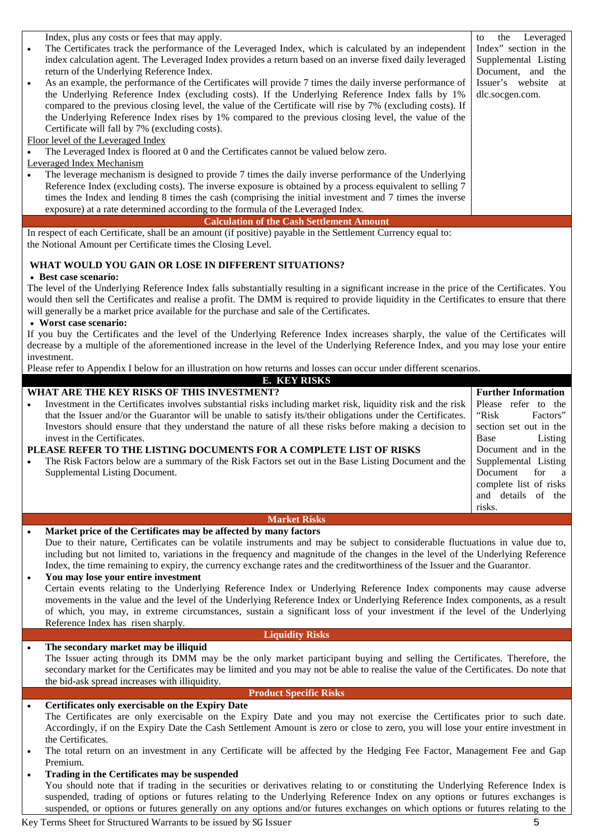| Index, plus any costs or fees that may apply.<br>The Certificates track the performance of the Leveraged Index, which is calculated by an independent<br>index calculation agent. The Leveraged Index provides a return based on an inverse fixed daily leveraged<br>return of the Underlying Reference Index.<br>As an example, the performance of the Certificates will provide 7 times the daily inverse performance of<br>$\bullet$<br>the Underlying Reference Index (excluding costs). If the Underlying Reference Index falls by 1%<br>compared to the previous closing level, the value of the Certificate will rise by 7% (excluding costs). If<br>the Underlying Reference Index rises by 1% compared to the previous closing level, the value of the<br>Certificate will fall by 7% (excluding costs).<br>Floor level of the Leveraged Index<br>The Leveraged Index is floored at 0 and the Certificates cannot be valued below zero.<br>Leveraged Index Mechanism | the Leveraged<br>to<br>Index" section in the<br>Supplemental Listing<br>Document, and the<br>Issuer's website<br>at<br>dlc.socgen.com.                                                                                                               |
|-------------------------------------------------------------------------------------------------------------------------------------------------------------------------------------------------------------------------------------------------------------------------------------------------------------------------------------------------------------------------------------------------------------------------------------------------------------------------------------------------------------------------------------------------------------------------------------------------------------------------------------------------------------------------------------------------------------------------------------------------------------------------------------------------------------------------------------------------------------------------------------------------------------------------------------------------------------------------------|------------------------------------------------------------------------------------------------------------------------------------------------------------------------------------------------------------------------------------------------------|
| The leverage mechanism is designed to provide 7 times the daily inverse performance of the Underlying<br>Reference Index (excluding costs). The inverse exposure is obtained by a process equivalent to selling 7<br>times the Index and lending 8 times the cash (comprising the initial investment and 7 times the inverse<br>exposure) at a rate determined according to the formula of the Leveraged Index.                                                                                                                                                                                                                                                                                                                                                                                                                                                                                                                                                               |                                                                                                                                                                                                                                                      |
| <b>Calculation of the Cash Settlement Amount</b><br>In respect of each Certificate, shall be an amount (if positive) payable in the Settlement Currency equal to:<br>the Notional Amount per Certificate times the Closing Level.                                                                                                                                                                                                                                                                                                                                                                                                                                                                                                                                                                                                                                                                                                                                             |                                                                                                                                                                                                                                                      |
| WHAT WOULD YOU GAIN OR LOSE IN DIFFERENT SITUATIONS?                                                                                                                                                                                                                                                                                                                                                                                                                                                                                                                                                                                                                                                                                                                                                                                                                                                                                                                          |                                                                                                                                                                                                                                                      |
| • Best case scenario:<br>The level of the Underlying Reference Index falls substantially resulting in a significant increase in the price of the Certificates. You<br>would then sell the Certificates and realise a profit. The DMM is required to provide liquidity in the Certificates to ensure that there<br>will generally be a market price available for the purchase and sale of the Certificates.<br>• Worst case scenario:                                                                                                                                                                                                                                                                                                                                                                                                                                                                                                                                         |                                                                                                                                                                                                                                                      |
| If you buy the Certificates and the level of the Underlying Reference Index increases sharply, the value of the Certificates will<br>decrease by a multiple of the aforementioned increase in the level of the Underlying Reference Index, and you may lose your entire<br>investment.                                                                                                                                                                                                                                                                                                                                                                                                                                                                                                                                                                                                                                                                                        |                                                                                                                                                                                                                                                      |
| Please refer to Appendix I below for an illustration on how returns and losses can occur under different scenarios.<br><b>E. KEY RISKS</b>                                                                                                                                                                                                                                                                                                                                                                                                                                                                                                                                                                                                                                                                                                                                                                                                                                    |                                                                                                                                                                                                                                                      |
| WHAT ARE THE KEY RISKS OF THIS INVESTMENT?<br>Investment in the Certificates involves substantial risks including market risk, liquidity risk and the risk<br>that the Issuer and/or the Guarantor will be unable to satisfy its/their obligations under the Certificates.<br>Investors should ensure that they understand the nature of all these risks before making a decision to<br>invest in the Certificates.<br>PLEASE REFER TO THE LISTING DOCUMENTS FOR A COMPLETE LIST OF RISKS<br>The Risk Factors below are a summary of the Risk Factors set out in the Base Listing Document and the<br>$\bullet$<br>Supplemental Listing Document.                                                                                                                                                                                                                                                                                                                             | <b>Further Information</b><br>Please refer to the<br>"Risk<br>Factors"<br>section set out in the<br>Base<br>Listing<br>Document and in the<br>Supplemental Listing<br>Document<br>for<br>a<br>complete list of risks<br>and details of the<br>risks. |
| <b>Market Risks</b><br>Market price of the Certificates may be affected by many factors<br>$\bullet$                                                                                                                                                                                                                                                                                                                                                                                                                                                                                                                                                                                                                                                                                                                                                                                                                                                                          |                                                                                                                                                                                                                                                      |
| Due to their nature, Certificates can be volatile instruments and may be subject to considerable fluctuations in value due to,<br>including but not limited to, variations in the frequency and magnitude of the changes in the level of the Underlying Reference<br>Index, the time remaining to expiry, the currency exchange rates and the creditworthiness of the Issuer and the Guarantor.<br>You may lose your entire investment<br>$\bullet$<br>Certain events relating to the Underlying Reference Index or Underlying Reference Index components may cause adverse<br>movements in the value and the level of the Underlying Reference Index or Underlying Reference Index components, as a result<br>of which, you may, in extreme circumstances, sustain a significant loss of your investment if the level of the Underlying<br>Reference Index has risen sharply.<br><b>Liquidity Risks</b>                                                                      |                                                                                                                                                                                                                                                      |
| The secondary market may be illiquid<br>$\bullet$                                                                                                                                                                                                                                                                                                                                                                                                                                                                                                                                                                                                                                                                                                                                                                                                                                                                                                                             |                                                                                                                                                                                                                                                      |
| The Issuer acting through its DMM may be the only market participant buying and selling the Certificates. Therefore, the<br>secondary market for the Certificates may be limited and you may not be able to realise the value of the Certificates. Do note that<br>the bid-ask spread increases with illiquidity.                                                                                                                                                                                                                                                                                                                                                                                                                                                                                                                                                                                                                                                             |                                                                                                                                                                                                                                                      |
| <b>Product Specific Risks</b>                                                                                                                                                                                                                                                                                                                                                                                                                                                                                                                                                                                                                                                                                                                                                                                                                                                                                                                                                 |                                                                                                                                                                                                                                                      |
| Certificates only exercisable on the Expiry Date<br>$\bullet$<br>The Certificates are only exercisable on the Expiry Date and you may not exercise the Certificates prior to such date.<br>Accordingly, if on the Expiry Date the Cash Settlement Amount is zero or close to zero, you will lose your entire investment in<br>the Certificates.<br>The total return on an investment in any Certificate will be affected by the Hedging Fee Factor, Management Fee and Gap<br>Premium.                                                                                                                                                                                                                                                                                                                                                                                                                                                                                        |                                                                                                                                                                                                                                                      |
| Trading in the Certificates may be suspended<br>$\bullet$<br>You should note that if trading in the securities or derivatives relating to or constituting the Underlying Reference Index is<br>suspended, trading of options or futures relating to the Underlying Reference Index on any options or futures exchanges is<br>suspended, or options or futures generally on any options and/or futures exchanges on which options or futures relating to the                                                                                                                                                                                                                                                                                                                                                                                                                                                                                                                   |                                                                                                                                                                                                                                                      |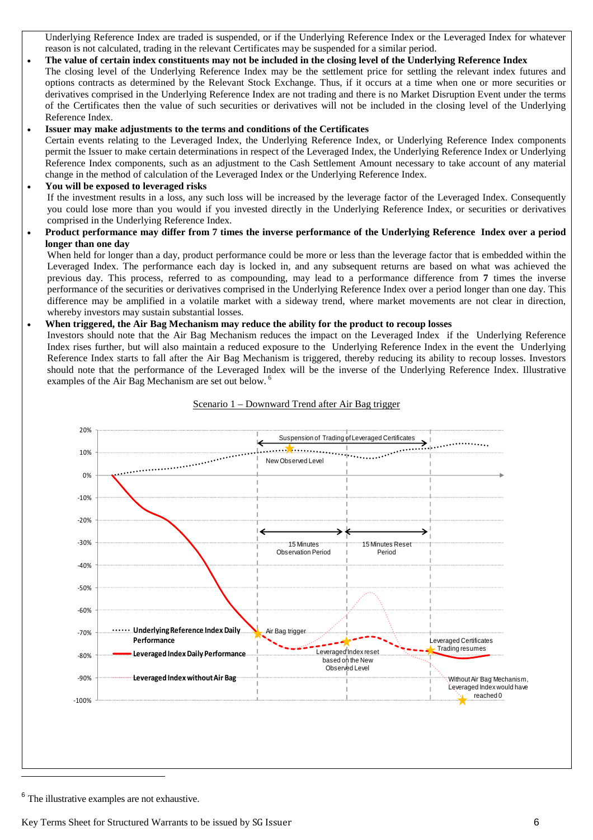Underlying Reference Index are traded is suspended, or if the Underlying Reference Index or the Leveraged Index for whatever reason is not calculated, trading in the relevant Certificates may be suspended for a similar period.

# **The value of certain index constituents may not be included in the closing level of the Underlying Reference Index**

The closing level of the Underlying Reference Index may be the settlement price for settling the relevant index futures and options contracts as determined by the Relevant Stock Exchange. Thus, if it occurs at a time when one or more securities or derivatives comprised in the Underlying Reference Index are not trading and there is no Market Disruption Event under the terms of the Certificates then the value of such securities or derivatives will not be included in the closing level of the Underlying Reference Index.

#### **Issuer may make adjustments to the terms and conditions of the Certificates**

Certain events relating to the Leveraged Index, the Underlying Reference Index, or Underlying Reference Index components permit the Issuer to make certain determinations in respect of the Leveraged Index, the Underlying Reference Index or Underlying Reference Index components, such as an adjustment to the Cash Settlement Amount necessary to take account of any material change in the method of calculation of the Leveraged Index or the Underlying Reference Index.

#### **You will be exposed to leveraged risks**

If the investment results in a loss, any such loss will be increased by the leverage factor of the Leveraged Index. Consequently you could lose more than you would if you invested directly in the Underlying Reference Index, or securities or derivatives comprised in the Underlying Reference Index.

### **Product performance may differ from 7 times the inverse performance of the Underlying Reference Index over a period longer than one day**

When held for longer than a day, product performance could be more or less than the leverage factor that is embedded within the Leveraged Index. The performance each day is locked in, and any subsequent returns are based on what was achieved the previous day. This process, referred to as compounding, may lead to a performance difference from **7** times the inverse performance of the securities or derivatives comprised in the Underlying Reference Index over a period longer than one day. This difference may be amplified in a volatile market with a sideway trend, where market movements are not clear in direction, whereby investors may sustain substantial losses.

### **When triggered, the Air Bag Mechanism may reduce the ability for the product to recoup losses**

Investors should note that the Air Bag Mechanism reduces the impact on the Leveraged Index if the Underlying Reference Index rises further, but will also maintain a reduced exposure to the Underlying Reference Index in the event the Underlying Reference Index starts to fall after the Air Bag Mechanism is triggered, thereby reducing its ability to recoup losses. Investors should note that the performance of the Leveraged Index will be the inverse of the Underlying Reference Index. Illustrative examples of the Air Bag Mechanism are set out below.<sup>6</sup>



#### Scenario 1 – Downward Trend after Air Bag trigger

<sup>&</sup>lt;sup>6</sup> The illustrative examples are not exhaustive.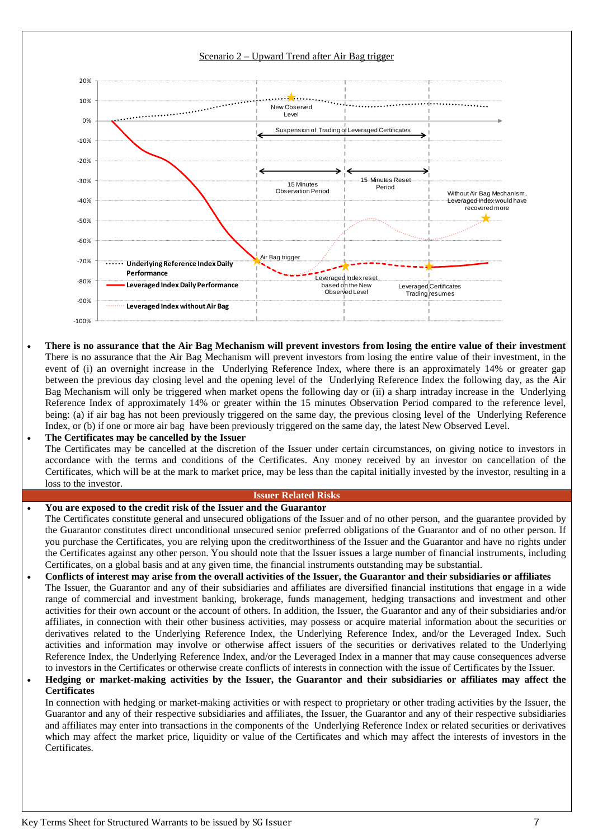

### Scenario 2 – Upward Trend after Air Bag trigger

- **There is no assurance that the Air Bag Mechanism will prevent investors from losing the entire value of their investment** There is no assurance that the Air Bag Mechanism will prevent investors from losing the entire value of their investment, in the event of (i) an overnight increase in the Underlying Reference Index, where there is an approximately 14% or greater gap between the previous day closing level and the opening level of the Underlying Reference Index the following day, as the Air Bag Mechanism will only be triggered when market opens the following day or (ii) a sharp intraday increase in the Underlying Reference Index of approximately 14% or greater within the 15 minutes Observation Period compared to the reference level, being: (a) if air bag has not been previously triggered on the same day, the previous closing level of the Underlying Reference Index, or (b) if one or more air bag have been previously triggered on the same day, the latest New Observed Level.
- **The Certificates may be cancelled by the Issuer** The Certificates may be cancelled at the discretion of the Issuer under certain circumstances, on giving notice to investors in accordance with the terms and conditions of the Certificates. Any money received by an investor on cancellation of the Certificates, which will be at the mark to market price, may be less than the capital initially invested by the investor, resulting in a loss to the investor.

## **Issuer Related Risks**

## **You are exposed to the credit risk of the Issuer and the Guarantor**

- The Certificates constitute general and unsecured obligations of the Issuer and of no other person, and the guarantee provided by the Guarantor constitutes direct unconditional unsecured senior preferred obligations of the Guarantor and of no other person. If you purchase the Certificates, you are relying upon the creditworthiness of the Issuer and the Guarantor and have no rights under the Certificates against any other person. You should note that the Issuer issues a large number of financial instruments, including Certificates, on a global basis and at any given time, the financial instruments outstanding may be substantial.
- **Conflicts of interest may arise from the overall activities of the Issuer, the Guarantor and their subsidiaries or affiliates** The Issuer, the Guarantor and any of their subsidiaries and affiliates are diversified financial institutions that engage in a wide range of commercial and investment banking, brokerage, funds management, hedging transactions and investment and other activities for their own account or the account of others. In addition, the Issuer, the Guarantor and any of their subsidiaries and/or affiliates, in connection with their other business activities, may possess or acquire material information about the securities or derivatives related to the Underlying Reference Index, the Underlying Reference Index, and/or the Leveraged Index. Such activities and information may involve or otherwise affect issuers of the securities or derivatives related to the Underlying Reference Index, the Underlying Reference Index, and/or the Leveraged Index in a manner that may cause consequences adverse to investors in the Certificates or otherwise create conflicts of interests in connection with the issue of Certificates by the Issuer.

### **Hedging or market-making activities by the Issuer, the Guarantor and their subsidiaries or affiliates may affect the Certificates**

In connection with hedging or market-making activities or with respect to proprietary or other trading activities by the Issuer, the Guarantor and any of their respective subsidiaries and affiliates, the Issuer, the Guarantor and any of their respective subsidiaries and affiliates may enter into transactions in the components of the Underlying Reference Index or related securities or derivatives which may affect the market price, liquidity or value of the Certificates and which may affect the interests of investors in the Certificates.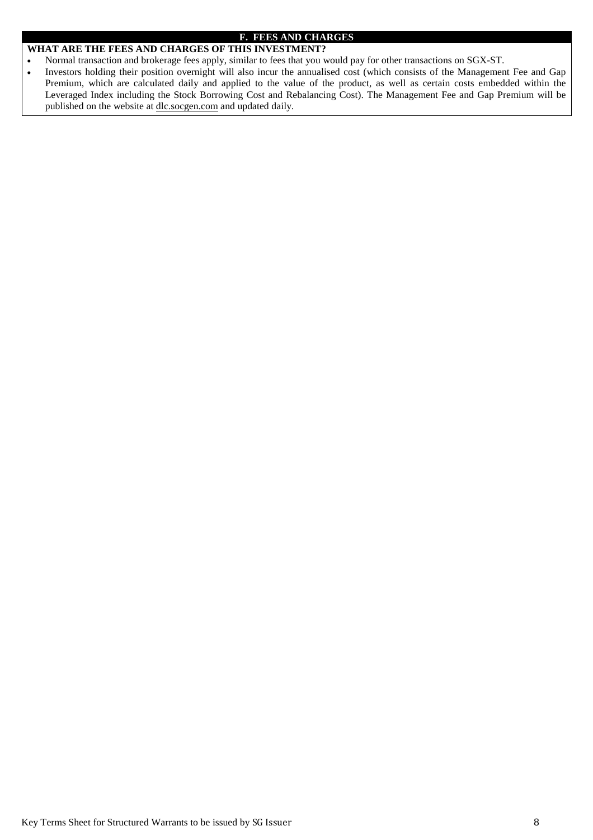### **F. FEES AND CHARGES**

# **WHAT ARE THE FEES AND CHARGES OF THIS INVESTMENT?**

- Normal transaction and brokerage fees apply, similar to fees that you would pay for other transactions on SGX-ST.
- Investors holding their position overnight will also incur the annualised cost (which consists of the Management Fee and Gap Premium, which are calculated daily and applied to the value of the product, as well as certain costs embedded within the Leveraged Index including the Stock Borrowing Cost and Rebalancing Cost). The Management Fee and Gap Premium will be published on the website at dlc.socgen.com and updated daily.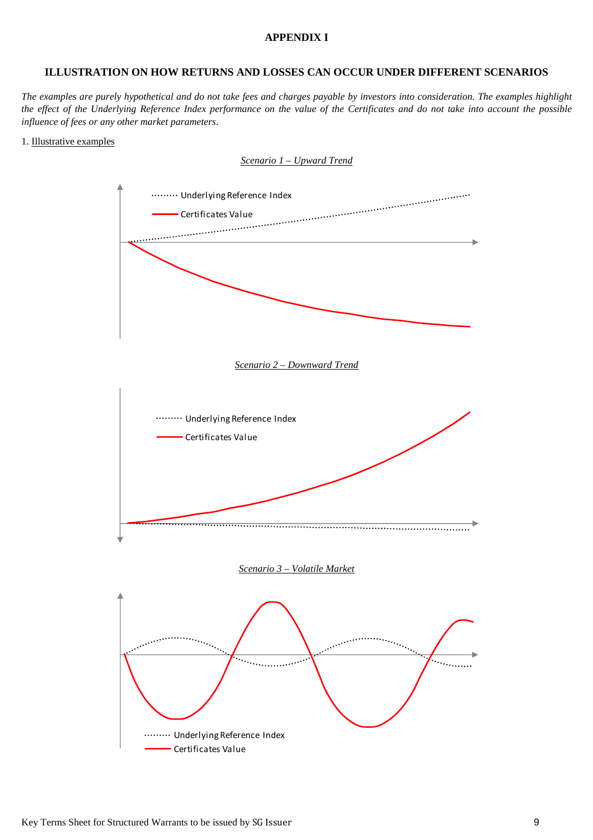## **APPENDIX I**

# **ILLUSTRATION ON HOW RETURNS AND LOSSES CAN OCCUR UNDER DIFFERENT SCENARIOS**

The examples are purely hypothetical and do not take fees and charges payable by investors into consideration. The examples highlight the effect of the Underlying Reference Index performance on the value of the Certificates and do not take into account the possible *influence of fees or any other market parameters.* 

#### 1. Illustrative examples

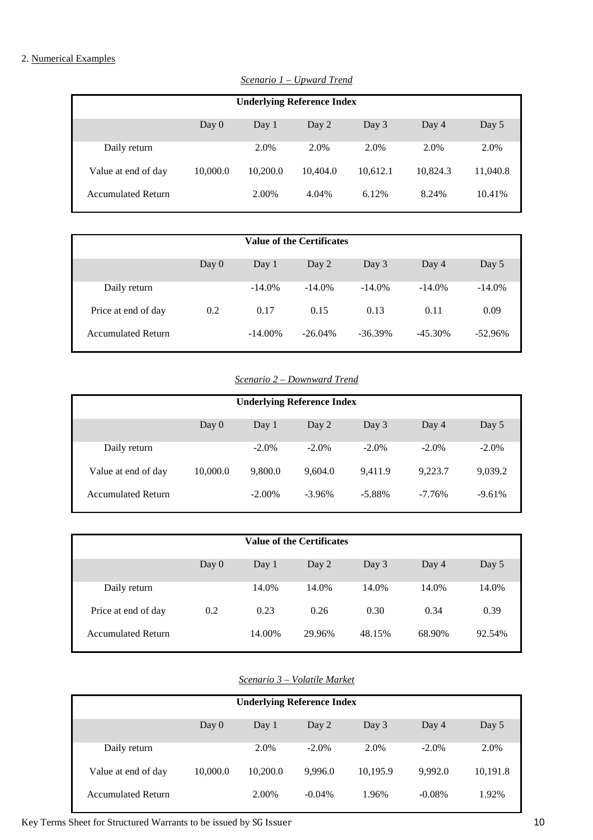# 2. Numerical Examples

| <b>Underlying Reference Index</b> |          |          |          |          |          |          |  |  |
|-----------------------------------|----------|----------|----------|----------|----------|----------|--|--|
|                                   |          |          |          |          |          |          |  |  |
|                                   | Day $0$  | Day 1    | Day 2    | Day 3    | Day 4    | Day 5    |  |  |
|                                   |          |          |          |          |          |          |  |  |
| Daily return                      |          | 2.0%     | 2.0%     | 2.0%     | 2.0%     | 2.0%     |  |  |
|                                   |          |          |          |          |          |          |  |  |
| Value at end of day               | 10,000.0 | 10.200.0 | 10,404.0 | 10,612.1 | 10,824.3 | 11,040.8 |  |  |
|                                   |          |          |          |          |          |          |  |  |
| <b>Accumulated Return</b>         |          | 2.00%    | 4.04%    | 6.12%    | 8.24%    | 10.41%   |  |  |
|                                   |          |          |          |          |          |          |  |  |

*Scenario 1 –Upward Trend*

| <b>Value of the Certificates</b> |         |            |            |            |            |           |  |
|----------------------------------|---------|------------|------------|------------|------------|-----------|--|
|                                  | Day $0$ | Day $1$    | Day 2      | Day 3      | Day 4      | Day 5     |  |
| Daily return                     |         | $-14.0%$   | $-14.0%$   | $-14.0%$   | $-14.0\%$  | $-14.0\%$ |  |
| Price at end of day              | 0.2     | 0.17       | 0.15       | 0.13       | 0.11       | 0.09      |  |
| <b>Accumulated Return</b>        |         | $-14.00\%$ | $-26.04\%$ | $-36.39\%$ | $-45.30\%$ | $-52.96%$ |  |

*Scenario 2–D ownward Trend*

| <b>Underlying Reference Index</b> |          |           |          |           |          |          |  |
|-----------------------------------|----------|-----------|----------|-----------|----------|----------|--|
|                                   | Day $0$  | Day 1     | Day 2    | Day 3     | Day 4    | Day 5    |  |
| Daily return                      |          | $-2.0\%$  | $-2.0\%$ | $-2.0\%$  | $-2.0\%$ | $-2.0\%$ |  |
| Value at end of day               | 10,000.0 | 9,800.0   | 9.604.0  | 9.411.9   | 9.223.7  | 9,039.2  |  |
| <b>Accumulated Return</b>         |          | $-2.00\%$ | $-3.96%$ | $-5.88\%$ | $-7.76%$ | $-9.61%$ |  |

| <b>Value of the Certificates</b> |         |        |        |        |        |        |  |
|----------------------------------|---------|--------|--------|--------|--------|--------|--|
|                                  | Day $0$ | Day 1  | Day 2  | Day 3  | Day 4  | Day 5  |  |
| Daily return                     |         | 14.0%  | 14.0%  | 14.0%  | 14.0%  | 14.0%  |  |
| Price at end of day              | 0.2     | 0.23   | 0.26   | 0.30   | 0.34   | 0.39   |  |
| <b>Accumulated Return</b>        |         | 14.00% | 29.96% | 48.15% | 68.90% | 92.54% |  |

# *Scenario 3–V olatile M arket*

| <b>Underlying Reference Index</b> |          |          |           |          |           |          |  |
|-----------------------------------|----------|----------|-----------|----------|-----------|----------|--|
|                                   | Day $0$  | Day 1    | Day 2     | Day 3    | Day 4     | Day 5    |  |
| Daily return                      |          | 2.0%     | $-2.0\%$  | 2.0%     | $-2.0\%$  | 2.0%     |  |
| Value at end of day               | 10,000.0 | 10,200.0 | 9,996.0   | 10,195.9 | 9.992.0   | 10,191.8 |  |
| <b>Accumulated Return</b>         |          | 2.00%    | $-0.04\%$ | 1.96%    | $-0.08\%$ | 1.92%    |  |

Key Terms Sheet for Structured Warrants to be issued by SG Issuer 10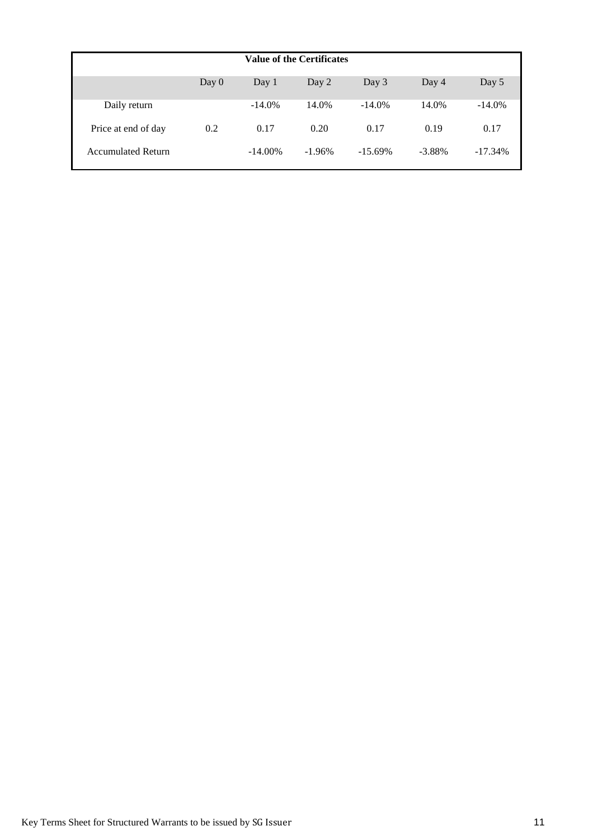| <b>Value of the Certificates</b> |         |            |          |            |           |           |
|----------------------------------|---------|------------|----------|------------|-----------|-----------|
|                                  | Day $0$ | Day $1$    | Day 2    | Day $3$    | Day 4     | Day 5     |
| Daily return                     |         | $-14.0%$   | 14.0%    | $-14.0%$   | 14.0%     | $-14.0\%$ |
| Price at end of day              | 0.2     | 0.17       | 0.20     | 0.17       | 0.19      | 0.17      |
| <b>Accumulated Return</b>        |         | $-14.00\%$ | $-1.96%$ | $-15.69\%$ | $-3.88\%$ | $-17.34%$ |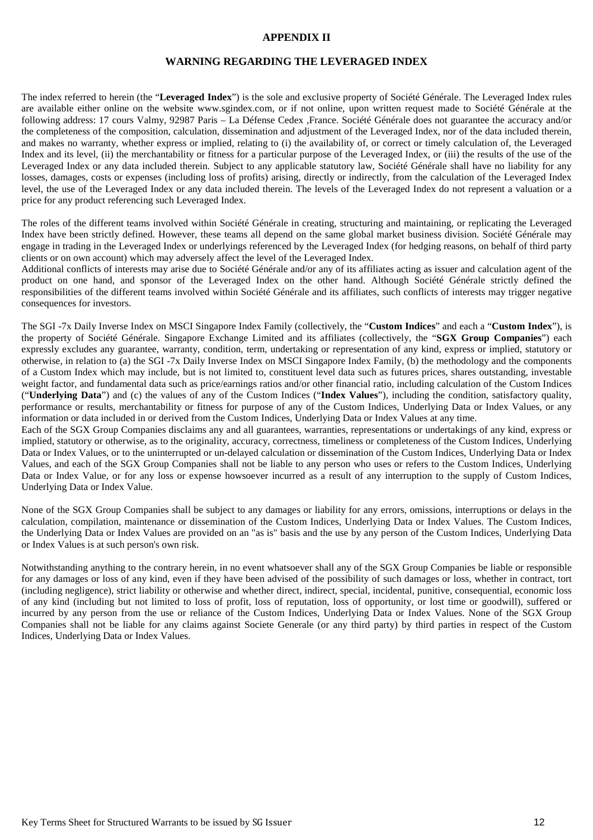## **APPENDIX II**

## **WARNING REGARDING THE LEVERAGED INDEX**

The index referred to herein (the "**Leveraged Index**") is the sole and exclusive property of Société Générale. The Leveraged Index rules are available either online on the website www.sgindex.com, or if not online, upon written request made to Société Générale at the following address: 17 cours Valmy, 92987 Paris – La Défense Cedex ,France. Société Générale does not guarantee the accuracy and/or the completeness of the composition, calculation, dissemination and adjustment of the Leveraged Index, nor of the data included therein, and makes no warranty, whether express or implied, relating to (i) the availability of, or correct or timely calculation of, the Leveraged Index and its level, (ii) the merchantability or fitness for a particular purpose of the Leveraged Index, or (iii) the results of the use of the Leveraged Index or any data included therein. Subject to any applicable statutory law, Société Générale shall have no liability for any losses, damages, costs or expenses (including loss of profits) arising, directly or indirectly, from the calculation of the Leveraged Index level, the use of the Leveraged Index or any data included therein. The levels of the Leveraged Index do not represent a valuation or a price for any product referencing such Leveraged Index.

The roles of the different teams involved within Société Générale in creating, structuring and maintaining, or replicating the Leveraged Index have been strictly defined. However, these teams all depend on the same global market business division. Société Générale may engage in trading in the Leveraged Index or underlyings referenced by the Leveraged Index (for hedging reasons, on behalf of third party clients or on own account) which may adversely affect the level of the Leveraged Index.

Additional conflicts of interests may arise due to Société Générale and/or any of its affiliates acting as issuer and calculation agent of the product on one hand, and sponsor of the Leveraged Index on the other hand. Although Société Générale strictly defined the responsibilities of the different teams involved within Société Générale and its affiliates, such conflicts of interests may trigger negative consequences for investors.

The SGI -7x Daily Inverse Index on MSCI Singapore Index Family (collectively, the "**Custom Indices**" and each a "**Custom Index**"), is the property of Société Générale. Singapore Exchange Limited and its affiliates (collectively, the "**SGX Group Companies**") each expressly excludes any guarantee, warranty, condition, term, undertaking or representation of any kind, express or implied, statutory or otherwise, in relation to (a) the SGI -7x Daily Inverse Index on MSCI Singapore Index Family, (b) the methodology and the components of a Custom Index which may include, but is not limited to, constituent level data such as futures prices, shares outstanding, investable weight factor, and fundamental data such as price/earnings ratios and/or other financial ratio, including calculation of the Custom Indices ("**Underlying Data**") and (c) the values of any of the Custom Indices ("**Index Values**"), including the condition, satisfactory quality, performance or results, merchantability or fitness for purpose of any of the Custom Indices, Underlying Data or Index Values, or any information or data included in or derived from the Custom Indices, Underlying Data or Index Values at any time.

Each of the SGX Group Companies disclaims any and all guarantees, warranties, representations or undertakings of any kind, express or implied, statutory or otherwise, as to the originality, accuracy, correctness, timeliness or completeness of the Custom Indices, Underlying Data or Index Values, or to the uninterrupted or un-delayed calculation or dissemination of the Custom Indices, Underlying Data or Index Values, and each of the SGX Group Companies shall not be liable to any person who uses or refers to the Custom Indices, Underlying Data or Index Value, or for any loss or expense howsoever incurred as a result of any interruption to the supply of Custom Indices, Underlying Data or Index Value.

None of the SGX Group Companies shall be subject to any damages or liability for any errors, omissions, interruptions or delays in the calculation, compilation, maintenance or dissemination of the Custom Indices, Underlying Data or Index Values. The Custom Indices, the Underlying Data or Index Values are provided on an "as is" basis and the use by any person of the Custom Indices, Underlying Data or Index Values is at such person's own risk.

Notwithstanding anything to the contrary herein, in no event whatsoever shall any of the SGX Group Companies be liable or responsible for any damages or loss of any kind, even if they have been advised of the possibility of such damages or loss, whether in contract, tort (including negligence), strict liability or otherwise and whether direct, indirect, special, incidental, punitive, consequential, economic loss of any kind (including but not limited to loss of profit, loss of reputation, loss of opportunity, or lost time or goodwill), suffered or incurred by any person from the use or reliance of the Custom Indices, Underlying Data or Index Values. None of the SGX Group Companies shall not be liable for any claims against Societe Generale (or any third party) by third parties in respect of the Custom Indices, Underlying Data or Index Values.